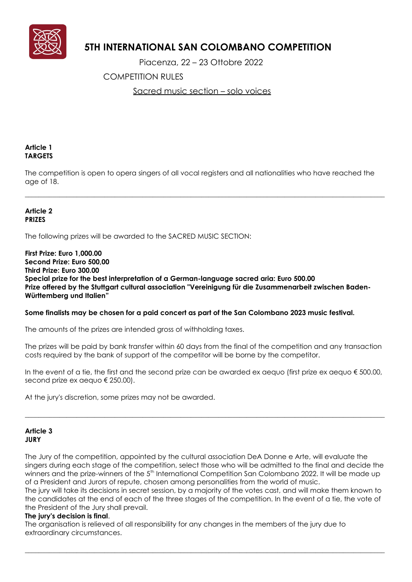

# **5TH INTERNATIONAL SAN COLOMBANO COMPETITION**

Piacenza, 22 – 23 Ottobre 2022

COMPETITION RULES

Sacred music section – solo voices

# **Article 1 TARGETS**

The competition is open to opera singers of all vocal registers and all nationalities who have reached the age of 18.

\_\_\_\_\_\_\_\_\_\_\_\_\_\_\_\_\_\_\_\_\_\_\_\_\_\_\_\_\_\_\_\_\_\_\_\_\_\_\_\_\_\_\_\_\_\_\_\_\_\_\_\_\_\_\_\_\_\_\_\_\_\_\_\_\_\_\_\_\_\_\_\_\_\_\_\_\_\_\_\_\_\_\_\_\_\_\_\_\_\_\_\_\_\_\_\_\_\_\_\_\_\_\_\_

## **Article 2 PRIZES**

The following prizes will be awarded to the SACRED MUSIC SECTION:

**First Prize: Euro 1,000.00 Second Prize: Euro 500,00 Third Prize: Euro 300.00 Special prize for the best interpretation of a German-language sacred aria: Euro 500.00 Prize offered by the Stuttgart cultural association "Vereinigung für die Zusammenarbeit zwischen Baden-Württemberg und Italien"**

## **Some finalists may be chosen for a paid concert as part of the San Colombano 2023 music festival.**

The amounts of the prizes are intended gross of withholding taxes.

The prizes will be paid by bank transfer within 60 days from the final of the competition and any transaction costs required by the bank of support of the competitor will be borne by the competitor.

In the event of a tie, the first and the second prize can be awarded ex aequo (first prize ex aequo  $\epsilon$  500.00, second prize ex aequo € 250.00).

 $\_$  ,  $\_$  ,  $\_$  ,  $\_$  ,  $\_$  ,  $\_$  ,  $\_$  ,  $\_$  ,  $\_$  ,  $\_$  ,  $\_$  ,  $\_$  ,  $\_$  ,  $\_$  ,  $\_$  ,  $\_$  ,  $\_$  ,  $\_$  ,  $\_$  ,  $\_$  ,  $\_$  ,  $\_$  ,  $\_$  ,  $\_$  ,  $\_$  ,  $\_$  ,  $\_$  ,  $\_$  ,  $\_$  ,  $\_$  ,  $\_$  ,  $\_$  ,  $\_$  ,  $\_$  ,  $\_$  ,  $\_$  ,  $\_$  ,

At the jury's discretion, some prizes may not be awarded.

## **Article 3 JURY**

The Jury of the competition, appointed by the cultural association DeA Donne e Arte, will evaluate the singers during each stage of the competition, select those who will be admitted to the final and decide the winners and the prize-winners of the 5<sup>th</sup> International Competition San Colombano 2022. It will be made up of a President and Jurors of repute, chosen among personalities from the world of music.

The jury will take its decisions in secret session, by a majority of the votes cast, and will make them known to the candidates at the end of each of the three stages of the competition. In the event of a tie, the vote of the President of the Jury shall prevail.

\_\_\_\_\_\_\_\_\_\_\_\_\_\_\_\_\_\_\_\_\_\_\_\_\_\_\_\_\_\_\_\_\_\_\_\_\_\_\_\_\_\_\_\_\_\_\_\_\_\_\_\_\_\_\_\_\_\_\_\_\_\_\_\_\_\_\_\_\_\_\_\_\_\_\_\_\_\_\_\_\_\_\_\_\_\_\_\_\_\_\_\_\_\_\_\_\_\_\_\_\_\_\_\_

## **The jury's decision is final**.

The organisation is relieved of all responsibility for any changes in the members of the jury due to extraordinary circumstances.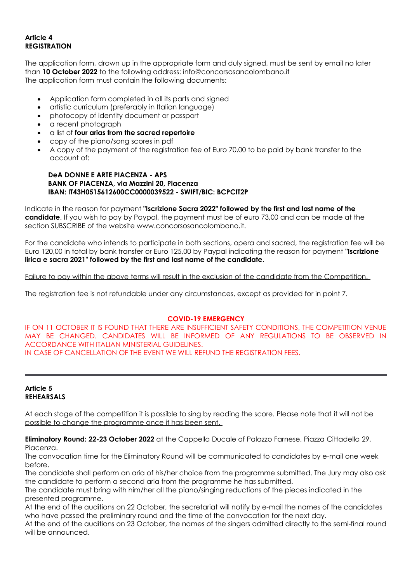# **Article 4 REGISTRATION**

The application form, drawn up in the appropriate form and duly signed, must be sent by email no later than **10 October 2022** to the following address: info@concorsosancolombano.it The application form must contain the following documents:

- Application form completed in all its parts and signed
- artistic curriculum (preferably in Italian language)
- photocopy of identity document or passport
- a recent photograph
- a list of **four arias from the sacred repertoire**
- copy of the piano/song scores in pdf
- A copy of the payment of the registration fee of Euro 70.00 to be paid by bank transfer to the account of:

#### **DeA DONNE E ARTE PIACENZA - APS BANK OF PIACENZA, via Mazzini 20, Piacenza IBAN: IT43H0515612600CC0000039522 - SWIFT/BIC: BCPCIT2P**

Indicate in the reason for payment **"Iscrizione Sacra 2022" followed by the first and last name of the candidate**. If you wish to pay by Paypal, the payment must be of euro 73,00 and can be made at the section SUBSCRIBE of the website www.concorsosancolombano.it.

For the candidate who intends to participate in both sections, opera and sacred, the registration fee will be Euro 120,00 in total by bank transfer or Euro 125,00 by Paypal indicating the reason for payment **"Iscrizione lirica e sacra 2021" followed by the first and last name of the candidate.**

Failure to pay within the above terms will result in the exclusion of the candidate from the Competition.

The registration fee is not refundable under any circumstances, except as provided for in point 7.

## **COVID-19 EMERGENCY**

IF ON 11 OCTOBER IT IS FOUND THAT THERE ARE INSUFFICIENT SAFETY CONDITIONS, THE COMPETITION VENUE MAY BE CHANGED. CANDIDATES WILL BE INFORMED OF ANY REGULATIONS TO BE OBSERVED IN ACCORDANCE WITH ITALIAN MINISTERIAL GUIDELINES. IN CASE OF CANCELLATION OF THE EVENT WE WILL REFUND THE REGISTRATION FEES.

## **Article 5 REHEARSALS**

At each stage of the competition it is possible to sing by reading the score. Please note that it will not be possible to change the programme once it has been sent.

**Eliminatory Round: 22-23 October 2022** at the Cappella Ducale of Palazzo Farnese, Piazza Cittadella 29, Piacenza.

The convocation time for the Eliminatory Round will be communicated to candidates by e-mail one week before.

The candidate shall perform an aria of his/her choice from the programme submitted. The Jury may also ask the candidate to perform a second aria from the programme he has submitted.

The candidate must bring with him/her all the piano/singing reductions of the pieces indicated in the presented programme.

At the end of the auditions on 22 October, the secretariat will notify by e-mail the names of the candidates who have passed the preliminary round and the time of the convocation for the next day.

At the end of the auditions on 23 October, the names of the singers admitted directly to the semi-final round will be announced.